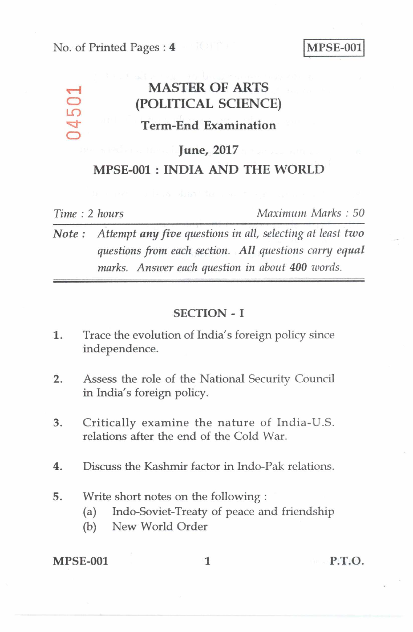### No. of Printed Pages : **4 I MPSE-001**

## **MASTER OF ARTS (POLITICAL SCIENCE) Term-End Examination**

### **June, 2017**

### **MPSE-001 : INDIA AND THE WORLD**

LC)

 $\bigcirc$ 

*Time : 2 hours Maximum Marks : 50* 

*Note:* Attempt any five questions in all, selecting at least two *questions from each section. All questions carry equal marks. Answer each question in about 400 words.* 

#### **SECTION - I**

- 1. Trace the evolution of India's foreign policy since independence.
- 2. Assess the role of the National Security Council in India's foreign policy.
- 3. Critically examine the nature of India-U.S. relations after the end of the Cold War.
- 4. Discuss the Kashmir factor in Indo-Pak relations.
- 5. Write short notes on the following :
	- (a) Indo-Soviet-Treaty of peace and friendship
	- (b) New World Order

**MPSE-001** 1 **P.T.O.**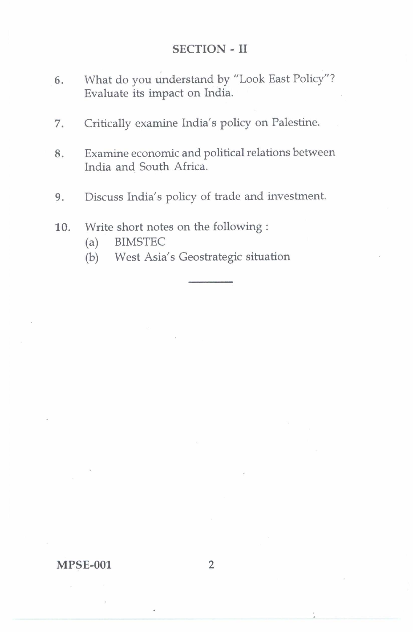## SECTION - II

- 6. What do you understand by "Look East Policy"? Evaluate its impact on India.
- 7. Critically examine India's policy on Palestine.
- 8. Examine economic and political relations between India and South Africa.
- 9. Discuss India's policy of trade and investment.
- 10. Write short notes on the following :
	- (a) BIMSTEC
	- (b) West Asia's Geostrategic situation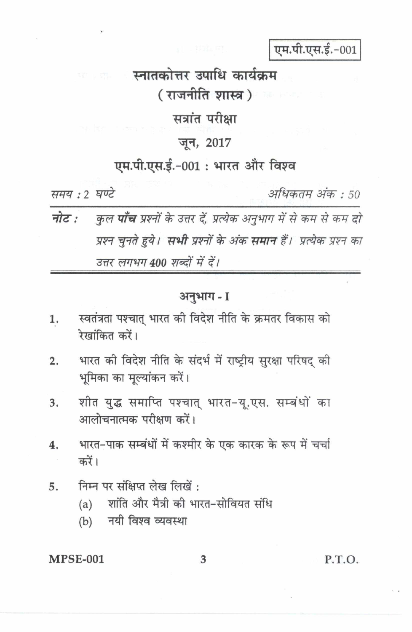एम.पी.एस.ई.-001

# स्नातकोत्तर उपाधि कार्यक्रम ( राजनीति शास्त्र ) ज

सत्रांत परीक्षा

## जून, 2017

## एम.पी.एस.ई.-001: भारत और विश्व

समय : ? घण्टे

अधिकतम् अंकः : 50

कुल **पाँच** प्रश्नों के उत्तर दें, प्रत्येक अनुभाग में से कम से कम दो नोट : प्रश्न चुनते हुये। **सभी** प्रश्नों के अंक **समान** हैं। प्रत्येक प्रश्न का उत्तर लगभग 400 शब्दों में दें।

## अनुभाग - I

- स्वतंत्रता पश्चात् भारत की विदेश नीति के क्रमतर विकास को 1. रेखांकित करें।
- भारत की विदेश नीति के संदर्भ में राष्ट्रीय सुरक्षा परिषद की  $\overline{2}$ . भूमिका का मूल्यांकन करें।
- शीत युद्ध समाप्ति पश्चात् भारत-यू.एस. सम्बंधों का 3. आलोचनात्मक परीक्षण करें।
- भारत-पाक सम्बंधों में कश्मीर के एक कारक के रूप में चर्चा 4. करें।
- निम्न पर संक्षिप्त लेख लिखें: 5.
	- शांति और मैत्री की भारत-सोवियत संधि  $(a)$
	- (b) नयी विश्व व्यवस्था

### **MPSE-001**

P.T.O.

3